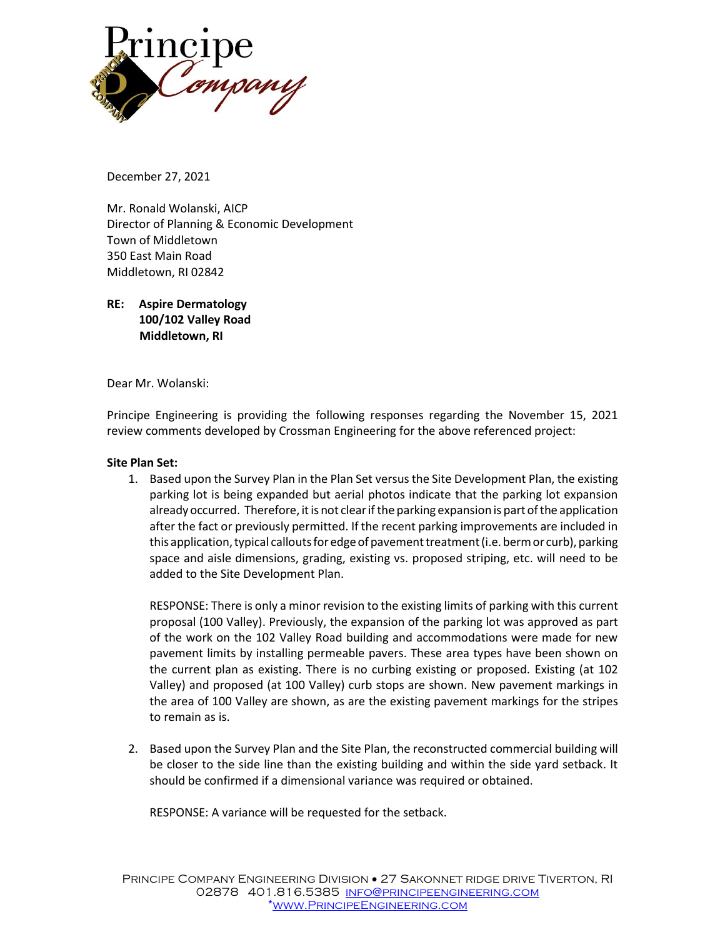

December 27, 2021

Mr. Ronald Wolanski, AICP Director of Planning & Economic Development Town of Middletown 350 East Main Road Middletown, RI 02842

**RE: Aspire Dermatology 100/102 Valley Road Middletown, RI**

Dear Mr. Wolanski:

Principe Engineering is providing the following responses regarding the November 15, 2021 review comments developed by Crossman Engineering for the above referenced project:

## **Site Plan Set:**

1. Based upon the Survey Plan in the Plan Set versusthe Site Development Plan, the existing parking lot is being expanded but aerial photos indicate that the parking lot expansion already occurred. Therefore, it is not clear if the parking expansion is part of the application after the fact or previously permitted. If the recent parking improvements are included in this application, typical callouts for edge of pavement treatment (i.e. berm or curb), parking space and aisle dimensions, grading, existing vs. proposed striping, etc. will need to be added to the Site Development Plan.

RESPONSE: There is only a minor revision to the existing limits of parking with this current proposal (100 Valley). Previously, the expansion of the parking lot was approved as part of the work on the 102 Valley Road building and accommodations were made for new pavement limits by installing permeable pavers. These area types have been shown on the current plan as existing. There is no curbing existing or proposed. Existing (at 102 Valley) and proposed (at 100 Valley) curb stops are shown. New pavement markings in the area of 100 Valley are shown, as are the existing pavement markings for the stripes to remain as is.

2. Based upon the Survey Plan and the Site Plan, the reconstructed commercial building will be closer to the side line than the existing building and within the side yard setback. It should be confirmed if a dimensional variance was required or obtained.

RESPONSE: A variance will be requested for the setback.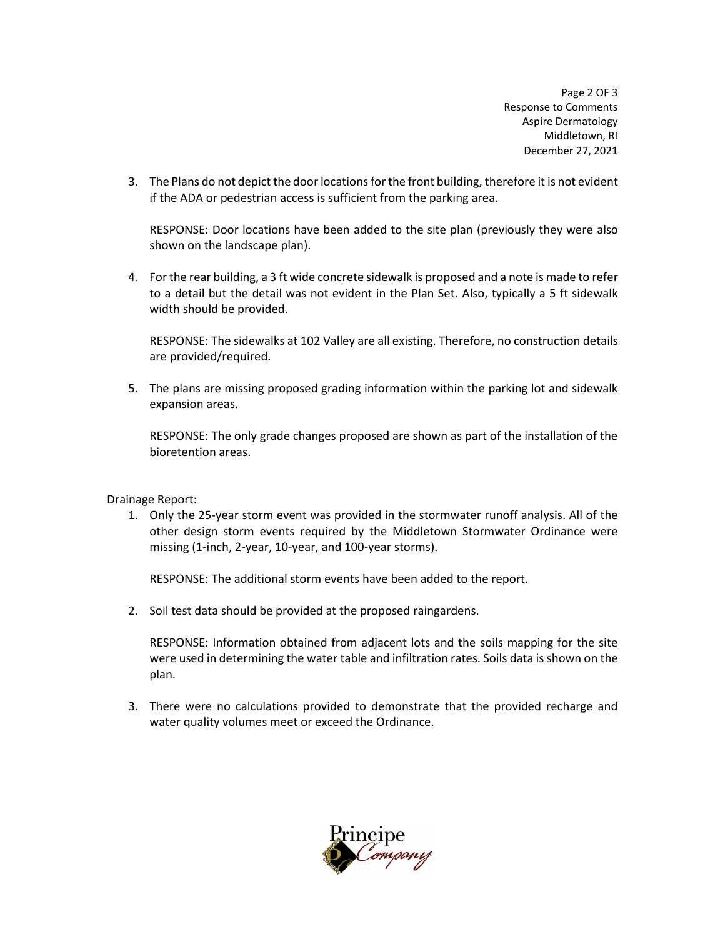Page 2 OF 3 Response to Comments Aspire Dermatology Middletown, RI December 27, 2021

3. The Plans do not depict the door locations for the front building, therefore it is not evident if the ADA or pedestrian access is sufficient from the parking area.

RESPONSE: Door locations have been added to the site plan (previously they were also shown on the landscape plan).

4. Forthe rear building, a 3 ft wide concrete sidewalk is proposed and a note is made to refer to a detail but the detail was not evident in the Plan Set. Also, typically a 5 ft sidewalk width should be provided.

RESPONSE: The sidewalks at 102 Valley are all existing. Therefore, no construction details are provided/required.

5. The plans are missing proposed grading information within the parking lot and sidewalk expansion areas.

RESPONSE: The only grade changes proposed are shown as part of the installation of the bioretention areas.

Drainage Report:

1. Only the 25-year storm event was provided in the stormwater runoff analysis. All of the other design storm events required by the Middletown Stormwater Ordinance were missing (1-inch, 2-year, 10-year, and 100-year storms).

RESPONSE: The additional storm events have been added to the report.

2. Soil test data should be provided at the proposed raingardens.

RESPONSE: Information obtained from adjacent lots and the soils mapping for the site were used in determining the water table and infiltration rates. Soils data is shown on the plan.

3. There were no calculations provided to demonstrate that the provided recharge and water quality volumes meet or exceed the Ordinance.